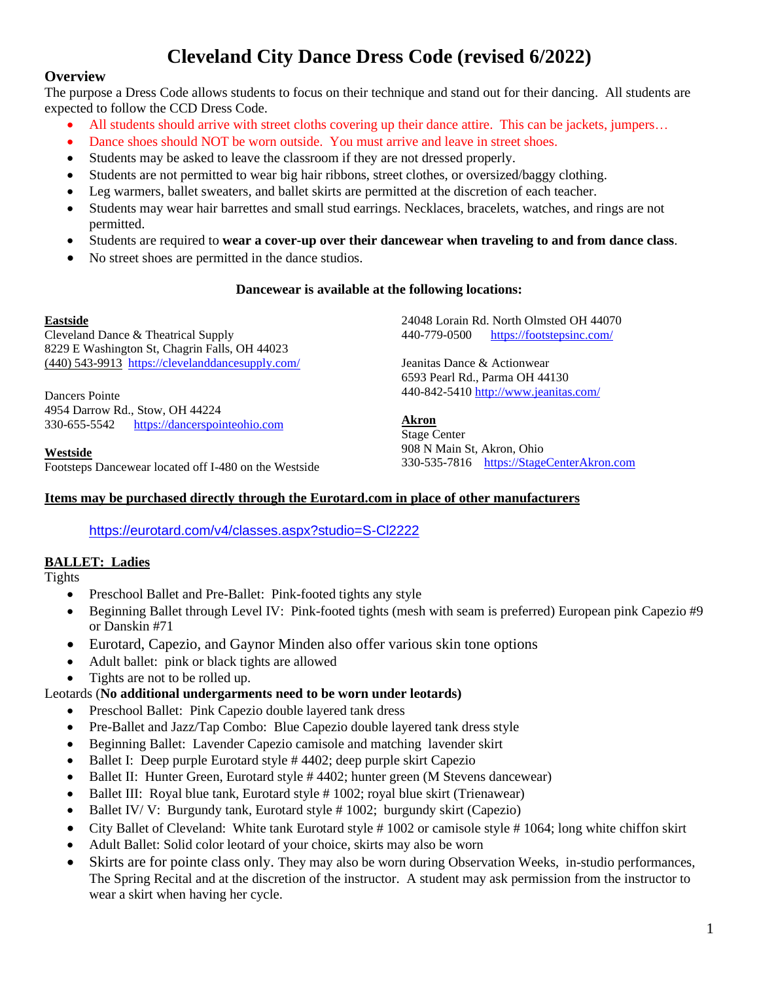# **Cleveland City Dance Dress Code (revised 6/2022)**

## **Overview**

The purpose a Dress Code allows students to focus on their technique and stand out for their dancing. All students are expected to follow the CCD Dress Code.

- All students should arrive with street cloths covering up their dance attire. This can be jackets, jumpers...
- Dance shoes should NOT be worn outside. You must arrive and leave in street shoes.
- Students may be asked to leave the classroom if they are not dressed properly.
- Students are not permitted to wear big hair ribbons, street clothes, or oversized/baggy clothing.
- Leg warmers, ballet sweaters, and ballet skirts are permitted at the discretion of each teacher.
- Students may wear hair barrettes and small stud earrings. Necklaces, bracelets, watches, and rings are not permitted.
- Students are required to **wear a cover-up over their dancewear when traveling to and from dance class**.
- No street shoes are permitted in the dance studios.

#### **Dancewear is available at the following locations:**

#### **Eastside**

Cleveland Dance & Theatrical Supply 8229 E Washington St, Chagrin Falls, OH 44023 [\(440\) 543-9913](tel:4405439913) <https://clevelanddancesupply.com/>

Dancers Pointe 4954 Darrow Rd., Stow, OH 44224 330-655-5542 [https://dancerspointeohio.com](https://dancerspointeohio.com/)

#### **Westside**

Footsteps Dancewear located off I-480 on the Westside

24048 Lorain Rd. North Olmsted OH 44070 440-779-0500 <https://footstepsinc.com/>

Jeanitas Dance & Actionwear 6593 Pearl Rd., Parma OH 44130 440-842-5410 <http://www.jeanitas.com/>

#### **Akron**

Stage Center 908 N Main St, Akron, Ohio 330-535-7816 [https://StageCenterAkron.com](https://stagecenterakron.com/)

## **Items may be purchased directly through the Eurotard.com in place of other manufacturers**

<https://eurotard.com/v4/classes.aspx?studio=S-Cl2222>

## **BALLET: Ladies**

**Tights** 

- Preschool Ballet and Pre-Ballet: Pink-footed tights any style
- Beginning Ballet through Level IV: Pink-footed tights (mesh with seam is preferred) European pink Capezio #9 or Danskin #71
- Eurotard, Capezio, and Gaynor Minden also offer various skin tone options
- Adult ballet: pink or black tights are allowed
- Tights are not to be rolled up.

#### Leotards (**No additional undergarments need to be worn under leotards)**

- Preschool Ballet: Pink Capezio double layered tank dress
- Pre-Ballet and Jazz/Tap Combo: Blue Capezio double layered tank dress style
- Beginning Ballet: Lavender Capezio camisole and matching lavender skirt
- Ballet I: Deep purple Eurotard style # 4402; deep purple skirt Capezio
- Ballet II: Hunter Green, Eurotard style # 4402; hunter green (M Stevens dancewear)
- Ballet III: Royal blue tank, Eurotard style #1002; royal blue skirt (Trienawear)
- Ballet IV/ V: Burgundy tank, Eurotard style # 1002; burgundy skirt (Capezio)
- City Ballet of Cleveland: White tank Eurotard style #1002 or camisole style #1064; long white chiffon skirt
- Adult Ballet: Solid color leotard of your choice, skirts may also be worn
- Skirts are for pointe class only. They may also be worn during Observation Weeks, in-studio performances, The Spring Recital and at the discretion of the instructor. A student may ask permission from the instructor to wear a skirt when having her cycle.